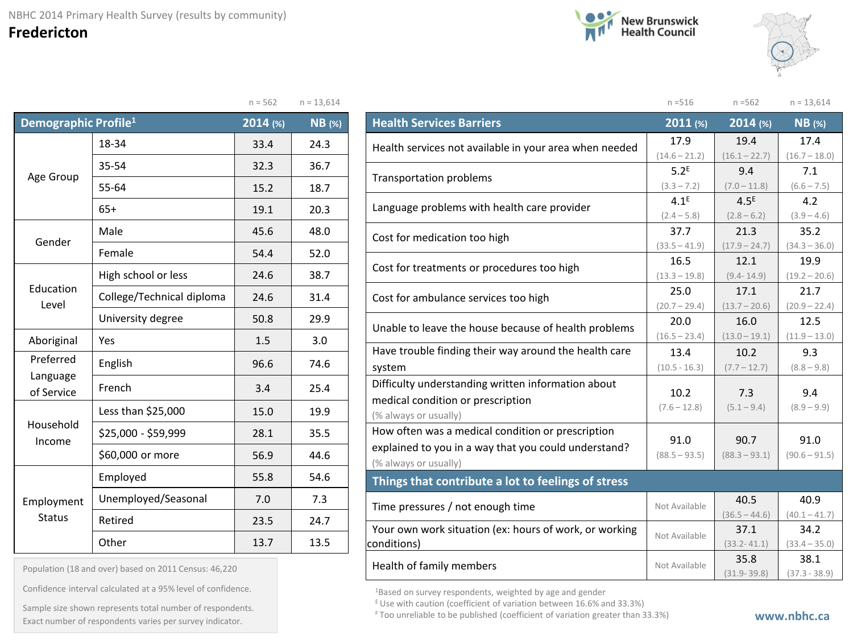



|                                  |                           | $n = 562$ | $n = 13,614$  |
|----------------------------------|---------------------------|-----------|---------------|
| Demographic Profile <sup>1</sup> |                           | 2014 (%)  | <b>NB</b> (%) |
|                                  | 18-34                     | 33.4      | 24.3          |
|                                  | 35-54                     | 32.3      | 36.7          |
| Age Group                        | 55-64                     | 15.2      | 18.7          |
|                                  | $65+$                     | 19.1      | 20.3          |
|                                  | Male                      | 45.6      | 48.0          |
| Gender                           | Female                    | 54.4      | 52.0          |
|                                  | High school or less       | 24.6      | 38.7          |
| Education<br>Level               | College/Technical diploma | 24.6      | 31.4          |
|                                  | University degree         | 50.8      | 29.9          |
| Aboriginal                       | Yes                       | 1.5       | 3.0           |
| Preferred                        | English                   | 96.6      | 74.6          |
| Language<br>of Service           | French                    | 3.4       | 25.4          |
|                                  | Less than \$25,000        | 15.0      | 19.9          |
| Household<br>Income              | \$25,000 - \$59,999       | 28.1      | 35.5          |
|                                  | \$60,000 or more          | 56.9      | 44.6          |
|                                  | Employed                  | 55.8      | 54.6          |
| Employment                       | Unemployed/Seasonal       | 7.0       | 7.3           |
| <b>Status</b>                    | Retired                   | 23.5      | 24.7          |
|                                  | Other                     | 13.7      | 13.5          |

|                                                        | $n = 516$               | $n = 562$               | $n = 13,614$            |
|--------------------------------------------------------|-------------------------|-------------------------|-------------------------|
| <b>Health Services Barriers</b>                        | 2011 (%)                | $2014$ (%)              | $NB$ (%)                |
| Health services not available in your area when needed | 17.9                    | 19.4                    | 17.4                    |
|                                                        | $(14.6 - 21.2)$         | $(16.1 - 22.7)$         | $(16.7 - 18.0)$         |
| <b>Transportation problems</b>                         | 5.2 <sup>E</sup>        | 9.4                     | 7.1                     |
|                                                        | $(3.3 - 7.2)$           | $(7.0 - 11.8)$          | $(6.6 - 7.5)$           |
| Language problems with health care provider            | 4.1 <sup>E</sup>        | 4.5 <sup>E</sup>        | 4.2                     |
|                                                        | $(2.4 - 5.8)$           | $(2.8 - 6.2)$           | $(3.9 - 4.6)$           |
| Cost for medication too high                           | 37.7                    | 21.3                    | 35.2                    |
|                                                        | $(33.5 - 41.9)$<br>16.5 | $(17.9 - 24.7)$<br>12.1 | $(34.3 - 36.0)$<br>19.9 |
| Cost for treatments or procedures too high             | $(13.3 - 19.8)$         | $(9.4 - 14.9)$          | $(19.2 - 20.6)$         |
|                                                        | 25.0                    | 17.1                    | 21.7                    |
| Cost for ambulance services too high                   | $(20.7 - 29.4)$         | $(13.7 - 20.6)$         | $(20.9 - 22.4)$         |
|                                                        | 20.0                    | 16.0                    | 12.5                    |
| Unable to leave the house because of health problems   | $(16.5 - 23.4)$         | $(13.0 - 19.1)$         | $(11.9 - 13.0)$         |
| Have trouble finding their way around the health care  | 13.4                    | 10.2                    | 9.3                     |
| system                                                 | $(10.5 - 16.3)$         | $(7.7 - 12.7)$          | $(8.8 - 9.8)$           |
| Difficulty understanding written information about     |                         |                         |                         |
| medical condition or prescription                      | 10.2                    | 7.3                     | 9.4                     |
| (% always or usually)                                  | $(7.6 - 12.8)$          | $(5.1 - 9.4)$           | $(8.9 - 9.9)$           |
| How often was a medical condition or prescription      |                         |                         |                         |
| explained to you in a way that you could understand?   | 91.0                    | 90.7                    | 91.0                    |
| (% always or usually)                                  | $(88.5 - 93.5)$         | $(88.3 - 93.1)$         | $(90.6 - 91.5)$         |
| Things that contribute a lot to feelings of stress     |                         |                         |                         |
| Time pressures / not enough time                       | Not Available           | 40.5                    | 40.9                    |
|                                                        |                         | $(36.5 - 44.6)$         | $(40.1 - 41.7)$         |
| Your own work situation (ex: hours of work, or working | Not Available           | 37.1                    | 34.2                    |
| conditions)                                            |                         | $(33.2 - 41.1)$         | $(33.4 - 35.0)$         |
| Health of family members                               | Not Available           | 35.8                    | 38.1                    |
|                                                        |                         | $(31.9 - 39.8)$         | $(37.3 - 38.9)$         |

<sup>1</sup>Based on survey respondents, weighted by age and gender

E Use with caution (coefficient of variation between 16.6% and 33.3%)

Population (18 and over) based on 2011 Census: 46,220

Confidence interval calculated at a 95% level of confidence.

Exact number of respondents varies per survey indicator.<br>Exact number of respondents varies per survey indicator. Sample size shown represents total number of respondents.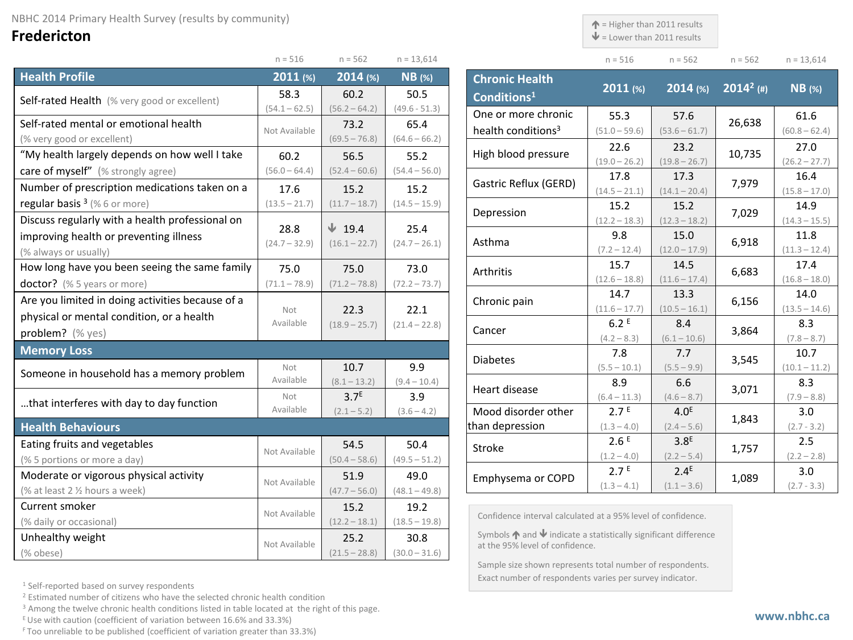## **Fredericton**

|                                                  | $n = 516$        | $n = 562$         | $n = 13,614$    |
|--------------------------------------------------|------------------|-------------------|-----------------|
| <b>Health Profile</b>                            | 2011(%)          | 2014 (%)          | <b>NB</b> (%)   |
| Self-rated Health (% very good or excellent)     | 58.3             | 60.2              | 50.5            |
|                                                  | $(54.1 - 62.5)$  | $(56.2 - 64.2)$   | $(49.6 - 51.3)$ |
| Self-rated mental or emotional health            | Not Available    | 73.2              | 65.4            |
| (% very good or excellent)                       |                  | $(69.5 - 76.8)$   | $(64.6 - 66.2)$ |
| "My health largely depends on how well I take    | 60.2             | 56.5              | 55.2            |
| care of myself" (% strongly agree)               | $(56.0 - 64.4)$  | $(52.4 - 60.6)$   | $(54.4 - 56.0)$ |
| Number of prescription medications taken on a    | 17.6             | 15.2              | 15.2            |
| regular basis $3$ (% 6 or more)                  | $(13.5 - 21.7)$  | $(11.7 - 18.7)$   | $(14.5 - 15.9)$ |
| Discuss regularly with a health professional on  | 28.8             | $\downarrow$ 19.4 | 25.4            |
| improving health or preventing illness           | $(24.7 - 32.9)$  | $(16.1 - 22.7)$   | $(24.7 - 26.1)$ |
| (% always or usually)                            |                  |                   |                 |
| How long have you been seeing the same family    | 75.0             | 75.0              | 73.0            |
| doctor? (% 5 years or more)                      | $(71.1 - 78.9)$  | $(71.2 - 78.8)$   | $(72.2 - 73.7)$ |
| Are you limited in doing activities because of a |                  |                   |                 |
| physical or mental condition, or a health        | Not<br>Available | 22.3              | 22.1            |
| problem? (% yes)                                 |                  | $(18.9 - 25.7)$   | $(21.4 - 22.8)$ |
| <b>Memory Loss</b>                               |                  |                   |                 |
| Someone in household has a memory problem        | Not              | 10.7              | 9.9             |
|                                                  | Available        | $(8.1 - 13.2)$    | $(9.4 - 10.4)$  |
| that interferes with day to day function         | Not              | 3.7 <sup>E</sup>  | 3.9             |
|                                                  | Available        | $(2.1 - 5.2)$     | $(3.6 - 4.2)$   |
| <b>Health Behaviours</b>                         |                  |                   |                 |
| Eating fruits and vegetables                     | Not Available    | 54.5              | 50.4            |
| (% 5 portions or more a day)                     |                  | $(50.4 - 58.6)$   | $(49.5 - 51.2)$ |
| Moderate or vigorous physical activity           | Not Available    | 51.9              | 49.0            |
| (% at least 2 1/2 hours a week)                  |                  | $(47.7 - 56.0)$   | $(48.1 - 49.8)$ |
| Current smoker                                   | Not Available    | 15.2              | 19.2            |
| (% daily or occasional)                          |                  | $(12.2 - 18.1)$   | $(18.5 - 19.8)$ |
| Unhealthy weight                                 | Not Available    | 25.2              | 30.8            |
| (% obese)                                        |                  | $(21.5 - 28.8)$   | $(30.0 - 31.6)$ |

| <b>Chronic Health</b><br>Conditions <sup>1</sup> | 2011 (%)                          | $2014$ (%)                        | $2014^2$ (#) | $NB$ (%)                |
|--------------------------------------------------|-----------------------------------|-----------------------------------|--------------|-------------------------|
| One or more chronic                              | 55.3                              | 57.6                              | 26,638       | 61.6                    |
| health conditions <sup>3</sup>                   | $(51.0 - 59.6)$                   | $(53.6 - 61.7)$                   |              | $(60.8 - 62.4)$         |
| High blood pressure                              | 22.6<br>$(19.0 - 26.2)$           | 23.2<br>$(19.8 - 26.7)$           | 10,735       | 27.0<br>$(26.2 - 27.7)$ |
| Gastric Reflux (GERD)                            | 17.8<br>$(14.5 - 21.1)$           | 17.3<br>$(14.1 - 20.4)$           | 7,979        | 16.4<br>$(15.8 - 17.0)$ |
| Depression                                       | 15.2<br>$(12.2 - 18.3)$           | 15.2<br>$(12.3 - 18.2)$           | 7,029        | 14.9<br>$(14.3 - 15.5)$ |
| Asthma                                           | 9.8<br>$(7.2 - 12.4)$             | 15.0<br>$(12.0 - 17.9)$           | 6,918        | 11.8<br>$(11.3 - 12.4)$ |
| Arthritis                                        | 15.7<br>$(12.6 - 18.8)$           | 14.5<br>$(11.6 - 17.4)$           | 6,683        | 17.4<br>$(16.8 - 18.0)$ |
| Chronic pain                                     | 14.7<br>$(11.6 - 17.7)$           | 13.3<br>$(10.5 - 16.1)$           | 6,156        | 14.0<br>$(13.5 - 14.6)$ |
| Cancer                                           | 6.2E<br>$(4.2 - 8.3)$             | 8.4<br>$(6.1 - 10.6)$             | 3,864        | 8.3<br>$(7.8 - 8.7)$    |
| <b>Diabetes</b>                                  | 7.8<br>$(5.5 - 10.1)$             | 7.7<br>$(5.5 - 9.9)$              | 3,545        | 10.7<br>$(10.1 - 11.2)$ |
| Heart disease                                    | 8.9<br>$(6.4 - 11.3)$             | 6.6<br>$(4.6 - 8.7)$              | 3,071        | 8.3<br>$(7.9 - 8.8)$    |
| Mood disorder other<br>than depression           | 2.7 <sup>E</sup><br>$(1.3 - 4.0)$ | 4.0 <sup>E</sup><br>$(2.4 - 5.6)$ | 1,843        | 3.0<br>$(2.7 - 3.2)$    |
| <b>Stroke</b>                                    | 2.6E<br>$(1.2 - 4.0)$             | 3.8 <sup>E</sup><br>$(2.2 - 5.4)$ | 1,757        | 2.5<br>$(2.2 - 2.8)$    |
| Emphysema or COPD                                | 2.7 <sup>E</sup><br>$(1.3 - 4.1)$ | 24E<br>$(1.1 - 3.6)$              | 1,089        | 3.0<br>$(2.7 - 3.3)$    |

 $\uparrow$  = Higher than 2011 results  $\blacktriangleright$  = Lower than 2011 results

 $n = 516$   $n = 562$   $n = 562$   $n = 13,614$ 

Confidence interval calculated at a 95% level of confidence.

Symbols  $\bigwedge$  and  $\bigvee$  indicate a statistically significant difference at the 95% level of confidence.

Sample size shown represents total number of respondents. Exact number of respondents varies per survey indicator.

<sup>1</sup> Self-reported based on survey respondents

<sup>2</sup> Estimated number of citizens who have the selected chronic health condition

<sup>3</sup> Among the twelve chronic health conditions listed in table located at the right of this page.

 $E$  Use with caution (coefficient of variation between 16.6% and 33.3%)

F Too unreliable to be published (coefficient of variation greater than 33.3%)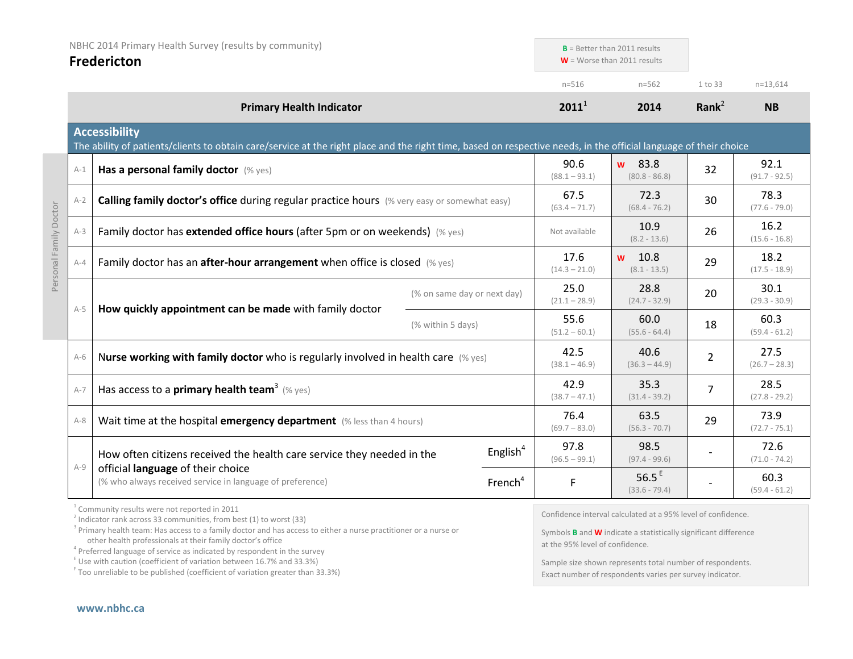| NBHC 2014 Primary Health Survey (results by community)<br><b>Fredericton</b> |                                                                                                | $B =$ Better than 2011 results<br>$W =$ Worse than 2011 results                                                                                                                                                                                                                                                                |                         |                         |                                                                                                                                               |                         |                         |
|------------------------------------------------------------------------------|------------------------------------------------------------------------------------------------|--------------------------------------------------------------------------------------------------------------------------------------------------------------------------------------------------------------------------------------------------------------------------------------------------------------------------------|-------------------------|-------------------------|-----------------------------------------------------------------------------------------------------------------------------------------------|-------------------------|-------------------------|
|                                                                              |                                                                                                |                                                                                                                                                                                                                                                                                                                                | $n = 516$               | $n = 562$               | 1 to 33                                                                                                                                       | $n=13,614$              |                         |
|                                                                              | <b>Primary Health Indicator</b>                                                                |                                                                                                                                                                                                                                                                                                                                |                         | $2011^1$                | 2014                                                                                                                                          | Rank <sup>2</sup>       | <b>NB</b>               |
|                                                                              |                                                                                                | <b>Accessibility</b><br>The ability of patients/clients to obtain care/service at the right place and the right time, based on respective needs, in the official language of their choice                                                                                                                                      |                         |                         |                                                                                                                                               |                         |                         |
|                                                                              | $A-1$                                                                                          | Has a personal family doctor (% yes)                                                                                                                                                                                                                                                                                           |                         | 90.6<br>$(88.1 - 93.1)$ | w 83.8<br>$(80.8 - 86.8)$                                                                                                                     | 32                      | 92.1<br>$(91.7 - 92.5)$ |
|                                                                              | $A-2$                                                                                          | <b>Calling family doctor's office during regular practice hours</b> (% very easy or somewhat easy)                                                                                                                                                                                                                             |                         | 67.5<br>$(63.4 - 71.7)$ | 72.3<br>$(68.4 - 76.2)$                                                                                                                       | 30                      | 78.3<br>$(77.6 - 79.0)$ |
|                                                                              | $A-3$                                                                                          | Family doctor has extended office hours (after 5pm or on weekends) (% yes)                                                                                                                                                                                                                                                     |                         | Not available           | 10.9<br>$(8.2 - 13.6)$                                                                                                                        | 26                      | 16.2<br>$(15.6 - 16.8)$ |
| Personal Family Doctor                                                       | $A - 4$                                                                                        | Family doctor has an after-hour arrangement when office is closed (% yes)                                                                                                                                                                                                                                                      |                         | 17.6<br>$(14.3 - 21.0)$ | 10.8<br>W<br>$(8.1 - 13.5)$                                                                                                                   | 29                      | 18.2<br>$(17.5 - 18.9)$ |
|                                                                              |                                                                                                | (% on same day or next day)                                                                                                                                                                                                                                                                                                    | 25.0<br>$(21.1 - 28.9)$ | 28.8<br>$(24.7 - 32.9)$ | 20                                                                                                                                            | 30.1<br>$(29.3 - 30.9)$ |                         |
|                                                                              | $A-5$                                                                                          | How quickly appointment can be made with family doctor<br>(% within 5 days)                                                                                                                                                                                                                                                    |                         | 55.6<br>$(51.2 - 60.1)$ | 60.0<br>$(55.6 - 64.4)$                                                                                                                       | 18                      | 60.3<br>$(59.4 - 61.2)$ |
|                                                                              | $A-6$                                                                                          | Nurse working with family doctor who is regularly involved in health care (% yes)                                                                                                                                                                                                                                              |                         | 42.5<br>$(38.1 - 46.9)$ | 40.6<br>$(36.3 - 44.9)$                                                                                                                       | 2                       | 27.5<br>$(26.7 - 28.3)$ |
|                                                                              | $A-7$                                                                                          | Has access to a <b>primary health team<sup>3</sup></b> (% yes)                                                                                                                                                                                                                                                                 |                         | 42.9<br>$(38.7 - 47.1)$ | 35.3<br>$(31.4 - 39.2)$                                                                                                                       | $\overline{7}$          | 28.5<br>$(27.8 - 29.2)$ |
|                                                                              | $A-8$                                                                                          | Wait time at the hospital emergency department (% less than 4 hours)                                                                                                                                                                                                                                                           |                         | 76.4<br>$(69.7 - 83.0)$ | 63.5<br>$(56.3 - 70.7)$                                                                                                                       | 29                      | 73.9<br>$(72.7 - 75.1)$ |
|                                                                              | $A-9$                                                                                          | How often citizens received the health care service they needed in the                                                                                                                                                                                                                                                         | English <sup>4</sup>    | 97.8<br>$(96.5 - 99.1)$ | 98.5<br>$(97.4 - 99.6)$                                                                                                                       |                         | 72.6<br>$(71.0 - 74.2)$ |
|                                                                              | official language of their choice<br>(% who always received service in language of preference) |                                                                                                                                                                                                                                                                                                                                | French <sup>4</sup>     | F                       | 56.5 $E$<br>$(33.6 - 79.4)$                                                                                                                   |                         | 60.3<br>$(59.4 - 61.2)$ |
|                                                                              |                                                                                                | <sup>1</sup> Community results were not reported in 2011<br>$2$ Indicator rank across 33 communities, from best (1) to worst (33)<br><sup>3</sup> Primary health team: Has access to a family doctor and has access to either a nurse practitioner or a nurse or<br>other health professionals at their family doctor's office |                         |                         | Confidence interval calculated at a 95% level of confidence.<br>Symbols <b>B</b> and <b>W</b> indicate a statistically significant difference |                         |                         |

other health professionals at their family doctor's office<br><sup>4</sup> Preferred language of service as indicated by respondent in the survey

 $E$  Use with caution (coefficient of variation between 16.7% and 33.3%)

<sup>F</sup> Too unreliable to be published (coefficient of variation greater than 33.3%)

at the 95% level of confidence.

Sample size shown represents total number of respondents. Exact number of respondents varies per survey indicator.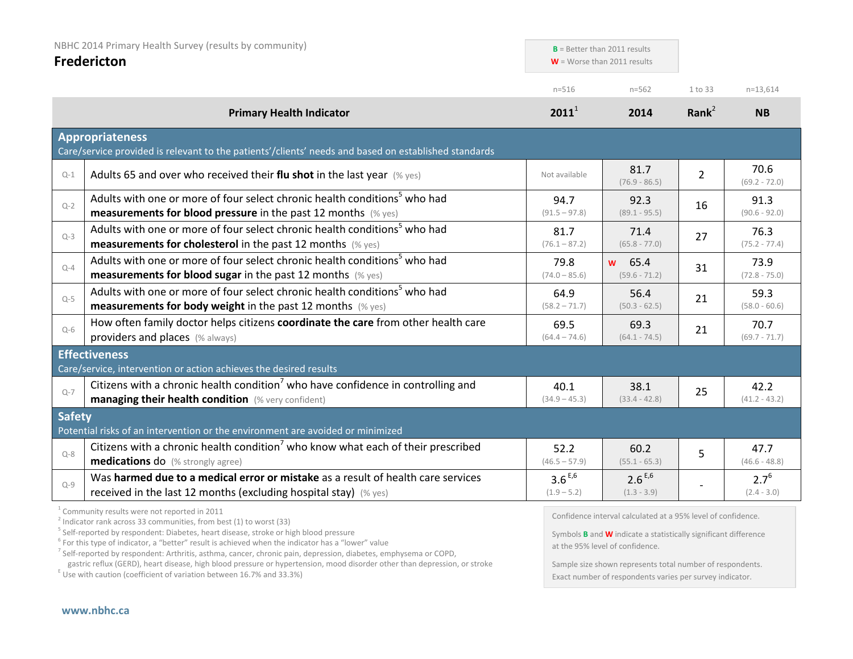|               | NBHC 2014 Primary Health Survey (results by community)<br><b>Fredericton</b>                                                                                  |                              | $B =$ Better than 2011 results<br>$W =$ Worse than 2011 results |                |                            |
|---------------|---------------------------------------------------------------------------------------------------------------------------------------------------------------|------------------------------|-----------------------------------------------------------------|----------------|----------------------------|
|               |                                                                                                                                                               | $n = 516$                    | $n = 562$                                                       | 1 to 33        | $n=13,614$                 |
|               | <b>Primary Health Indicator</b>                                                                                                                               | $2011^1$                     | 2014                                                            | Rank $^2$      | <b>NB</b>                  |
|               | <b>Appropriateness</b><br>Care/service provided is relevant to the patients'/clients' needs and based on established standards                                |                              |                                                                 |                |                            |
| $Q-1$         | Adults 65 and over who received their flu shot in the last year $(\%$ yes)                                                                                    | Not available                | 81.7<br>$(76.9 - 86.5)$                                         | $\overline{2}$ | 70.6<br>$(69.2 - 72.0)$    |
| $Q - 2$       | Adults with one or more of four select chronic health conditions <sup>5</sup> who had<br><b>measurements for blood pressure</b> in the past 12 months (% yes) | 94.7<br>$(91.5 - 97.8)$      | 92.3<br>$(89.1 - 95.5)$                                         | 16             | 91.3<br>$(90.6 - 92.0)$    |
| $Q-3$         | Adults with one or more of four select chronic health conditions <sup>5</sup> who had<br><b>measurements for cholesterol</b> in the past 12 months (% yes)    | 81.7<br>$(76.1 - 87.2)$      | 71.4<br>$(65.8 - 77.0)$                                         | 27             | 76.3<br>$(75.2 - 77.4)$    |
| $Q - 4$       | Adults with one or more of four select chronic health conditions <sup>5</sup> who had<br><b>measurements for blood sugar</b> in the past 12 months $(\%$ yes) | 79.8<br>$(74.0 - 85.6)$      | w 65.4<br>$(59.6 - 71.2)$                                       | 31             | 73.9<br>$(72.8 - 75.0)$    |
| $Q-5$         | Adults with one or more of four select chronic health conditions <sup>5</sup> who had<br><b>measurements for body weight</b> in the past 12 months (% yes)    | 64.9<br>$(58.2 - 71.7)$      | 56.4<br>$(50.3 - 62.5)$                                         | 21             | 59.3<br>$(58.0 - 60.6)$    |
| $Q-6$         | How often family doctor helps citizens coordinate the care from other health care<br>providers and places (% always)                                          | 69.5<br>$(64.4 - 74.6)$      | 69.3<br>$(64.1 - 74.5)$                                         | 21             | 70.7<br>$(69.7 - 71.7)$    |
|               | <b>Effectiveness</b><br>Care/service, intervention or action achieves the desired results                                                                     |                              |                                                                 |                |                            |
| $Q-7$         | Citizens with a chronic health condition <sup>7</sup> who have confidence in controlling and<br>managing their health condition (% very confident)            | 40.1<br>$(34.9 - 45.3)$      | 38.1<br>$(33.4 - 42.8)$                                         | 25             | 42.2<br>$(41.2 - 43.2)$    |
| <b>Safety</b> | Potential risks of an intervention or the environment are avoided or minimized                                                                                |                              |                                                                 |                |                            |
| $Q - 8$       | Citizens with a chronic health condition' who know what each of their prescribed<br>medications do (% strongly agree)                                         | 52.2<br>$(46.5 - 57.9)$      | 60.2<br>$(55.1 - 65.3)$                                         | 5              | 47.7<br>$(46.6 - 48.8)$    |
| $Q - 9$       | Was harmed due to a medical error or mistake as a result of health care services<br>received in the last 12 months (excluding hospital stay) (% yes)          | $3.6^{E,6}$<br>$(1.9 - 5.2)$ | $2.6^{E,6}$<br>$(1.3 - 3.9)$                                    |                | $2.7^{6}$<br>$(2.4 - 3.0)$ |
|               | <sup>1</sup> Community results were not reported in 2011                                                                                                      |                              | Confidence interval calculated at a OEM lovel of confidence     |                |                            |

 $2$  Indicator rank across 33 communities, from best (1) to worst (33)

<sup>5</sup> Self-reported by respondent: Diabetes, heart disease, stroke or high blood pressure

 $6$  For this type of indicator, a "better" result is achieved when the indicator has a "lower" value

<sup>7</sup> Self-reported by respondent: Arthritis, asthma, cancer, chronic pain, depression, diabetes, emphysema or COPD,

 $\epsilon$  Use with caution (coefficient of variation between 16.7% and 33.3%)

Confidence interval calculated at a 95% level of confidence.

Symbols **B** and **W** indicate a statistically significant difference at the 95% level of confidence.

Sample size shown represents total number of respondents. Exact number of respondents varies per survey indicator.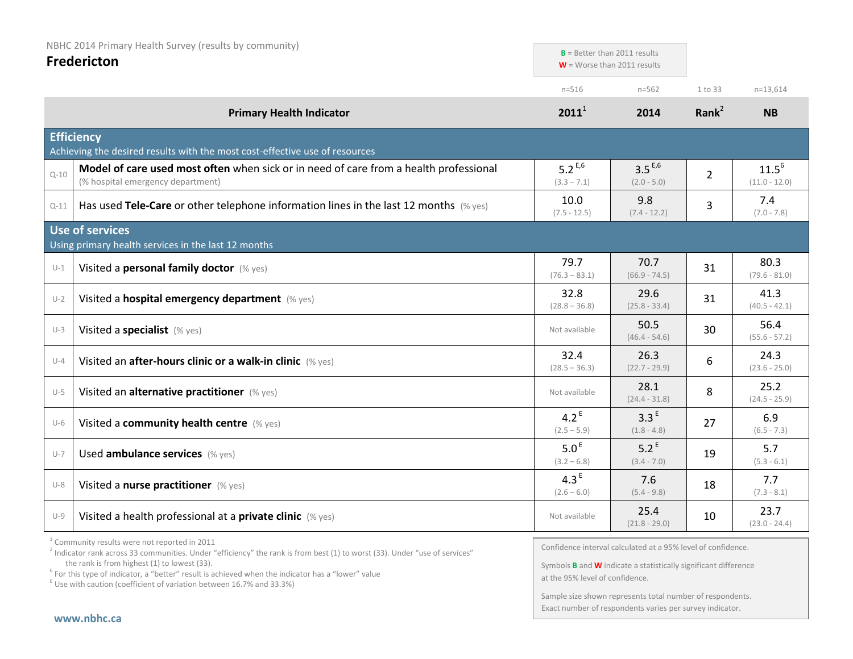| NBHC 2014 Primary Health Survey (results by community)<br><b>Fredericton</b> |                                                                                                                            | $B$ = Better than 2011 results<br>$W =$ Worse than 2011 results |                                   |                   |                               |
|------------------------------------------------------------------------------|----------------------------------------------------------------------------------------------------------------------------|-----------------------------------------------------------------|-----------------------------------|-------------------|-------------------------------|
|                                                                              |                                                                                                                            | $n = 516$                                                       | $n = 562$                         | 1 to 33           | $n=13,614$                    |
|                                                                              | <b>Primary Health Indicator</b>                                                                                            | $2011^1$                                                        | 2014                              | Rank <sup>2</sup> | <b>NB</b>                     |
|                                                                              | <b>Efficiency</b><br>Achieving the desired results with the most cost-effective use of resources                           |                                                                 |                                   |                   |                               |
| $Q - 10$                                                                     | Model of care used most often when sick or in need of care from a health professional<br>(% hospital emergency department) | 5.2 $E,6$<br>$(3.3 - 7.1)$                                      | $3.5^{E,6}$<br>$(2.0 - 5.0)$      | 2                 | $11.5^{6}$<br>$(11.0 - 12.0)$ |
| $Q-11$                                                                       | Has used Tele-Care or other telephone information lines in the last 12 months $(\%$ yes)                                   | 10.0<br>$(7.5 - 12.5)$                                          | 9.8<br>$(7.4 - 12.2)$             | 3                 | 7.4<br>$(7.0 - 7.8)$          |
|                                                                              | <b>Use of services</b><br>Using primary health services in the last 12 months                                              |                                                                 |                                   |                   |                               |
| $U-1$                                                                        | Visited a personal family doctor (% yes)                                                                                   | 79.7<br>$(76.3 - 83.1)$                                         | 70.7<br>$(66.9 - 74.5)$           | 31                | 80.3<br>$(79.6 - 81.0)$       |
| $U-2$                                                                        | Visited a hospital emergency department (% yes)                                                                            | 32.8<br>$(28.8 - 36.8)$                                         | 29.6<br>$(25.8 - 33.4)$           | 31                | 41.3<br>$(40.5 - 42.1)$       |
| $U-3$                                                                        | Visited a specialist (% yes)                                                                                               | Not available                                                   | 50.5<br>$(46.4 - 54.6)$           | 30                | 56.4<br>$(55.6 - 57.2)$       |
| $U-4$                                                                        | Visited an after-hours clinic or a walk-in clinic (% yes)                                                                  | 32.4<br>$(28.5 - 36.3)$                                         | 26.3<br>$(22.7 - 29.9)$           | 6                 | 24.3<br>$(23.6 - 25.0)$       |
| $U-5$                                                                        | Visited an alternative practitioner (% yes)                                                                                | Not available                                                   | 28.1<br>$(24.4 - 31.8)$           | 8                 | 25.2<br>$(24.5 - 25.9)$       |
| $U-6$                                                                        | Visited a community health centre (% yes)                                                                                  | $4.2^E$<br>$(2.5 - 5.9)$                                        | 3.3 <sup>E</sup><br>$(1.8 - 4.8)$ | 27                | 6.9<br>$(6.5 - 7.3)$          |
| $U-7$                                                                        | Used ambulance services (% yes)                                                                                            | 5.0 <sup>E</sup><br>$(3.2 - 6.8)$                               | $5.2^E$<br>$(3.4 - 7.0)$          | 19                | 5.7<br>$(5.3 - 6.1)$          |
| $U-8$                                                                        | Visited a nurse practitioner (% yes)                                                                                       | 4.3 <sup>E</sup><br>$(2.6 - 6.0)$                               | 7.6<br>$(5.4 - 9.8)$              | 18                | 7.7<br>$(7.3 - 8.1)$          |
| $U-9$                                                                        | Visited a health professional at a private clinic (% yes)                                                                  | Not available                                                   | 25.4<br>$(21.8 - 29.0)$           | 10                | 23.7<br>$(23.0 - 24.4)$       |

 $1$  Community results were not reported in 2011

 $E$  Use with caution (coefficient of variation between 16.7% and 33.3%)

Confidence interval calculated at a 95% level of confidence.

Symbols **B** and **W** indicate a statistically significant difference at the 95% level of confidence.

Sample size shown represents total number of respondents. Exact number of respondents varies per survey indicator.

<sup>&</sup>lt;sup>2</sup> Indicator rank across 33 communities. Under "efficiency" the rank is from best (1) to worst (33). Under "use of services" the rank is from highest (1) to lowest (33).

the rank is from highest (1) to lowest (33).<br><sup>6</sup> For this type of indicator, a "better" result is achieved when the indicator has a "lower" value